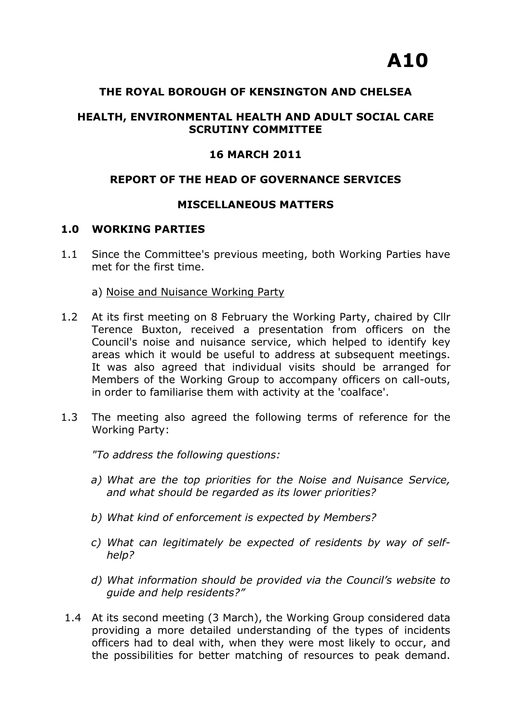## **THE ROYAL BOROUGH OF KENSINGTON AND CHELSEA**

# **HEALTH, ENVIRONMENTAL HEALTH AND ADULT SOCIAL CARE SCRUTINY COMMITTEE**

## **16 MARCH 2011**

## **REPORT OF THE HEAD OF GOVERNANCE SERVICES**

#### **MISCELLANEOUS MATTERS**

#### **1.0 WORKING PARTIES**

- 1.1 Since the Committee's previous meeting, both Working Parties have met for the first time.
	- a) Noise and Nuisance Working Party
- 1.2 At its first meeting on 8 February the Working Party, chaired by Cllr Terence Buxton, received a presentation from officers on the Council's noise and nuisance service, which helped to identify key areas which it would be useful to address at subsequent meetings. It was also agreed that individual visits should be arranged for Members of the Working Group to accompany officers on call-outs, in order to familiarise them with activity at the 'coalface'.
- 1.3 The meeting also agreed the following terms of reference for the Working Party:

*"To address the following questions:* 

- *a) What are the top priorities for the Noise and Nuisance Service, and what should be regarded as its lower priorities?*
- *b) What kind of enforcement is expected by Members?*
- *c) What can legitimately be expected of residents by way of selfhelp?*
- *d) What information should be provided via the Council's website to guide and help residents?"*
- 1.4 At its second meeting (3 March), the Working Group considered data providing a more detailed understanding of the types of incidents officers had to deal with, when they were most likely to occur, and the possibilities for better matching of resources to peak demand.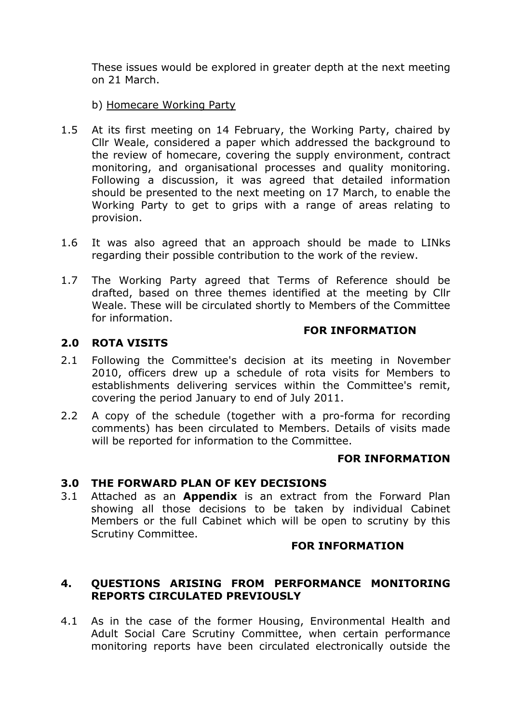These issues would be explored in greater depth at the next meeting on 21 March.

## b) Homecare Working Party

- 1.5 At its first meeting on 14 February, the Working Party, chaired by Cllr Weale, considered a paper which addressed the background to the review of homecare, covering the supply environment, contract monitoring, and organisational processes and quality monitoring. Following a discussion, it was agreed that detailed information should be presented to the next meeting on 17 March, to enable the Working Party to get to grips with a range of areas relating to provision.
- 1.6 It was also agreed that an approach should be made to LINks regarding their possible contribution to the work of the review.
- 1.7 The Working Party agreed that Terms of Reference should be drafted, based on three themes identified at the meeting by Cllr Weale. These will be circulated shortly to Members of the Committee for information.

#### **2.0 ROTA VISITS**

#### 2.1 Following the Committee's decision at its meeting in November 2010, officers drew up a schedule of rota visits for Members to establishments delivering services within the Committee's remit, covering the period January to end of July 2011.

2.2 A copy of the schedule (together with a pro-forma for recording comments) has been circulated to Members. Details of visits made will be reported for information to the Committee.

#### **FOR INFORMATION**

#### **3.0 THE FORWARD PLAN OF KEY DECISIONS**

3.1 Attached as an **Appendix** is an extract from the Forward Plan showing all those decisions to be taken by individual Cabinet Members or the full Cabinet which will be open to scrutiny by this Scrutiny Committee.

#### **FOR INFORMATION**

**FOR INFORMATION** 

### **4. QUESTIONS ARISING FROM PERFORMANCE MONITORING REPORTS CIRCULATED PREVIOUSLY**

4.1 As in the case of the former Housing, Environmental Health and Adult Social Care Scrutiny Committee, when certain performance monitoring reports have been circulated electronically outside the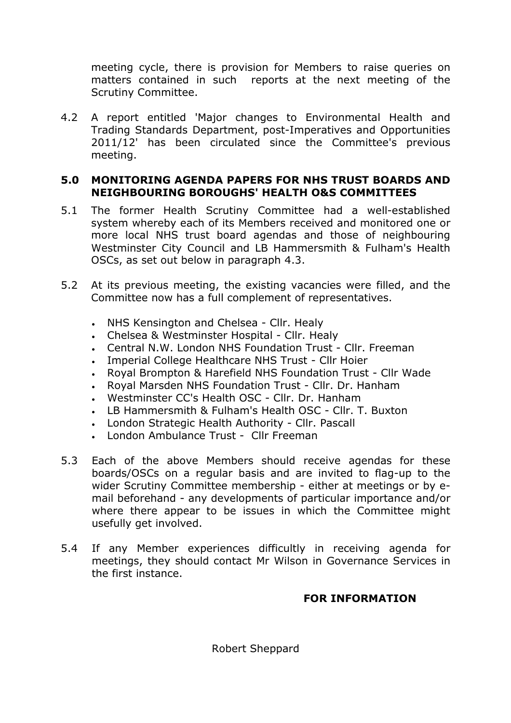meeting cycle, there is provision for Members to raise queries on matters contained in such reports at the next meeting of the Scrutiny Committee.

4.2 A report entitled 'Major changes to Environmental Health and Trading Standards Department, post-Imperatives and Opportunities 2011/12' has been circulated since the Committee's previous meeting.

# **5.0 MONITORING AGENDA PAPERS FOR NHS TRUST BOARDS AND NEIGHBOURING BOROUGHS' HEALTH O&S COMMITTEES**

- 5.1 The former Health Scrutiny Committee had a well-established system whereby each of its Members received and monitored one or more local NHS trust board agendas and those of neighbouring Westminster City Council and LB Hammersmith & Fulham's Health OSCs, as set out below in paragraph 4.3.
- 5.2 At its previous meeting, the existing vacancies were filled, and the Committee now has a full complement of representatives.
	- NHS Kensington and Chelsea Cllr. Healy
	- Chelsea & Westminster Hospital Cllr. Healy
	- Central N.W. London NHS Foundation Trust Cllr. Freeman
	- Imperial College Healthcare NHS Trust Cllr Hoier
	- Royal Brompton & Harefield NHS Foundation Trust Cllr Wade
	- Royal Marsden NHS Foundation Trust Cllr. Dr. Hanham
	- Westminster CC's Health OSC Cllr. Dr. Hanham
	- LB Hammersmith & Fulham's Health OSC Cllr. T. Buxton
	- London Strategic Health Authority Cllr. Pascall
	- London Ambulance Trust Cllr Freeman
- 5.3 Each of the above Members should receive agendas for these boards/OSCs on a regular basis and are invited to flag-up to the wider Scrutiny Committee membership - either at meetings or by email beforehand - any developments of particular importance and/or where there appear to be issues in which the Committee might usefully get involved.
- 5.4 If any Member experiences difficultly in receiving agenda for meetings, they should contact Mr Wilson in Governance Services in the first instance.

# **FOR INFORMATION**

Robert Sheppard